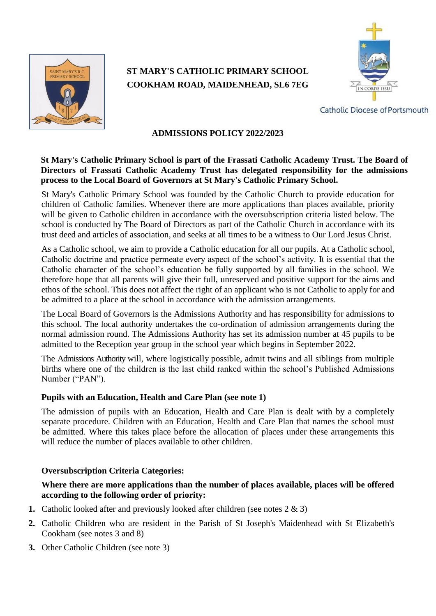

# **ST MARY'S CATHOLIC PRIMARY SCHOOL COOKHAM ROAD, MAIDENHEAD, SL6 7EG**



**Catholic Diocese of Portsmouth** 

# **ADMISSIONS POLICY 2022/2023**

## **St Mary's Catholic Primary School is part of the Frassati Catholic Academy Trust. The Board of Directors of Frassati Catholic Academy Trust has delegated responsibility for the admissions process to the Local Board of Governors at St Mary's Catholic Primary School.**

St Mary's Catholic Primary School was founded by the Catholic Church to provide education for children of Catholic families. Whenever there are more applications than places available, priority will be given to Catholic children in accordance with the oversubscription criteria listed below. The school is conducted by The Board of Directors as part of the Catholic Church in accordance with its trust deed and articles of association, and seeks at all times to be a witness to Our Lord Jesus Christ.

As a Catholic school, we aim to provide a Catholic education for all our pupils. At a Catholic school, Catholic doctrine and practice permeate every aspect of the school's activity. It is essential that the Catholic character of the school's education be fully supported by all families in the school. We therefore hope that all parents will give their full, unreserved and positive support for the aims and ethos of the school. This does not affect the right of an applicant who is not Catholic to apply for and be admitted to a place at the school in accordance with the admission arrangements.

The Local Board of Governors is the Admissions Authority and has responsibility for admissions to this school. The local authority undertakes the co-ordination of admission arrangements during the normal admission round. The Admissions Authority has set its admission number at 45 pupils to be admitted to the Reception year group in the school year which begins in September 2022.

The Admissions Authority will, where logistically possible, admit twins and all siblings from multiple births where one of the children is the last child ranked within the school's Published Admissions Number ("PAN").

## **Pupils with an Education, Health and Care Plan (see note 1)**

The admission of pupils with an Education, Health and Care Plan is dealt with by a completely separate procedure. Children with an Education, Health and Care Plan that names the school must be admitted. Where this takes place before the allocation of places under these arrangements this will reduce the number of places available to other children.

## **Oversubscription Criteria Categories:**

## **Where there are more applications than the number of places available, places will be offered according to the following order of priority:**

- **1.** Catholic looked after and previously looked after children (see notes 2 & 3)
- **2.** Catholic Children who are resident in the Parish of St Joseph's Maidenhead with St Elizabeth's Cookham (see notes 3 and 8)
- **3.** Other Catholic Children (see note 3)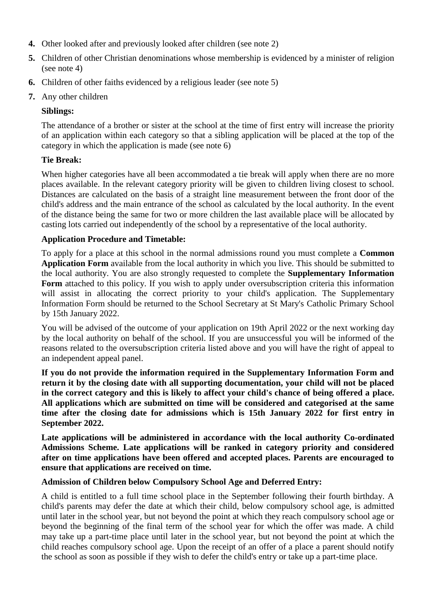- **4.** Other looked after and previously looked after children (see note 2)
- **5.** Children of other Christian denominations whose membership is evidenced by a minister of religion (see note 4)
- **6.** Children of other faiths evidenced by a religious leader (see note 5)
- **7.** Any other children

# **Siblings:**

The attendance of a brother or sister at the school at the time of first entry will increase the priority of an application within each category so that a sibling application will be placed at the top of the category in which the application is made (see note 6)

# **Tie Break:**

When higher categories have all been accommodated a tie break will apply when there are no more places available. In the relevant category priority will be given to children living closest to school. Distances are calculated on the basis of a straight line measurement between the front door of the child's address and the main entrance of the school as calculated by the local authority. In the event of the distance being the same for two or more children the last available place will be allocated by casting lots carried out independently of the school by a representative of the local authority.

# **Application Procedure and Timetable:**

To apply for a place at this school in the normal admissions round you must complete a **Common Application Form** available from the local authority in which you live. This should be submitted to the local authority. You are also strongly requested to complete the **Supplementary Information Form** attached to this policy. If you wish to apply under oversubscription criteria this information will assist in allocating the correct priority to your child's application. The Supplementary Information Form should be returned to the School Secretary at St Mary's Catholic Primary School by 15th January 2022.

You will be advised of the outcome of your application on 19th April 2022 or the next working day by the local authority on behalf of the school. If you are unsuccessful you will be informed of the reasons related to the oversubscription criteria listed above and you will have the right of appeal to an independent appeal panel.

**If you do not provide the information required in the Supplementary Information Form and return it by the closing date with all supporting documentation, your child will not be placed in the correct category and this is likely to affect your child's chance of being offered a place. All applications which are submitted on time will be considered and categorised at the same time after the closing date for admissions which is 15th January 2022 for first entry in September 2022.**

**Late applications will be administered in accordance with the local authority Co-ordinated Admissions Scheme. Late applications will be ranked in category priority and considered after on time applications have been offered and accepted places. Parents are encouraged to ensure that applications are received on time.**

## **Admission of Children below Compulsory School Age and Deferred Entry:**

A child is entitled to a full time school place in the September following their fourth birthday. A child's parents may defer the date at which their child, below compulsory school age, is admitted until later in the school year, but not beyond the point at which they reach compulsory school age or beyond the beginning of the final term of the school year for which the offer was made. A child may take up a part-time place until later in the school year, but not beyond the point at which the child reaches compulsory school age. Upon the receipt of an offer of a place a parent should notify the school as soon as possible if they wish to defer the child's entry or take up a part-time place.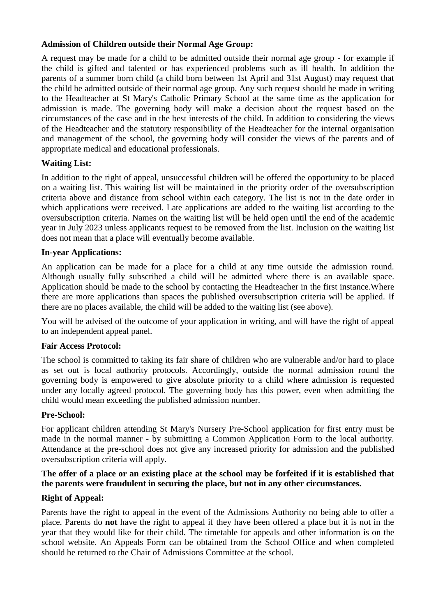### **Admission of Children outside their Normal Age Group:**

A request may be made for a child to be admitted outside their normal age group - for example if the child is gifted and talented or has experienced problems such as ill health. In addition the parents of a summer born child (a child born between 1st April and 31st August) may request that the child be admitted outside of their normal age group. Any such request should be made in writing to the Headteacher at St Mary's Catholic Primary School at the same time as the application for admission is made. The governing body will make a decision about the request based on the circumstances of the case and in the best interests of the child. In addition to considering the views of the Headteacher and the statutory responsibility of the Headteacher for the internal organisation and management of the school, the governing body will consider the views of the parents and of appropriate medical and educational professionals.

## **Waiting List:**

In addition to the right of appeal, unsuccessful children will be offered the opportunity to be placed on a waiting list. This waiting list will be maintained in the priority order of the oversubscription criteria above and distance from school within each category. The list is not in the date order in which applications were received. Late applications are added to the waiting list according to the oversubscription criteria. Names on the waiting list will be held open until the end of the academic year in July 2023 unless applicants request to be removed from the list. Inclusion on the waiting list does not mean that a place will eventually become available.

#### **In-year Applications:**

An application can be made for a place for a child at any time outside the admission round. Although usually fully subscribed a child will be admitted where there is an available space. Application should be made to the school by contacting the Headteacher in the first instance.Where there are more applications than spaces the published oversubscription criteria will be applied. If there are no places available, the child will be added to the waiting list (see above).

You will be advised of the outcome of your application in writing, and will have the right of appeal to an independent appeal panel.

## **Fair Access Protocol:**

The school is committed to taking its fair share of children who are vulnerable and/or hard to place as set out is local authority protocols. Accordingly, outside the normal admission round the governing body is empowered to give absolute priority to a child where admission is requested under any locally agreed protocol. The governing body has this power, even when admitting the child would mean exceeding the published admission number.

## **Pre-School:**

For applicant children attending St Mary's Nursery Pre-School application for first entry must be made in the normal manner - by submitting a Common Application Form to the local authority. Attendance at the pre-school does not give any increased priority for admission and the published oversubscription criteria will apply.

## **The offer of a place or an existing place at the school may be forfeited if it is established that the parents were fraudulent in securing the place, but not in any other circumstances.**

## **Right of Appeal:**

Parents have the right to appeal in the event of the Admissions Authority no being able to offer a place. Parents do **not** have the right to appeal if they have been offered a place but it is not in the year that they would like for their child. The timetable for appeals and other information is on the school website. An Appeals Form can be obtained from the School Office and when completed should be returned to the Chair of Admissions Committee at the school.